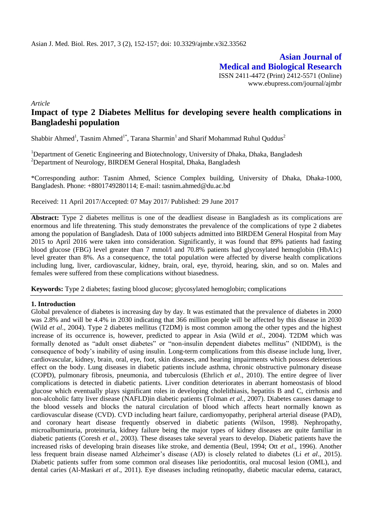**Asian Journal of Medical and Biological Research** ISSN 2411-4472 (Print) 2412-5571 (Online) www.ebupress.com/journal/ajmbr

*Article*

# **Impact of type 2 Diabetes Mellitus for developing severe health complications in Bangladeshi population**

Shabbir Ahmed<sup>1</sup>, Tasnim Ahmed<sup>1\*</sup>, Tarana Sharmin<sup>1</sup> and Sharif Mohammad Ruhul Quddus<sup>2</sup>

<sup>1</sup>Department of Genetic Engineering and Biotechnology, University of Dhaka, Dhaka, Bangladesh <sup>2</sup>Department of Neurology, BIRDEM General Hospital, Dhaka, Bangladesh

\*Corresponding author: Tasnim Ahmed, Science Complex building, University of Dhaka, Dhaka-1000, Bangladesh. Phone: +8801749280114; E-mail: [tasnim.ahmed@du.ac.bd](mailto:tasnim.ahmed@du.ac.bd)

Received: 11 April 2017/Accepted: 07 May 2017/ Published: 29 June 2017

**Abstract:** Type 2 diabetes mellitus is one of the deadliest disease in Bangladesh as its complications are enormous and life threatening. This study demonstrates the prevalence of the complications of type 2 diabetes among the population of Bangladesh. Data of 1000 subjects admitted into BIRDEM General Hospital from May 2015 to April 2016 were taken into consideration. Significantly, it was found that 89% patients had fasting blood glucose (FBG) level greater than 7 mmol/l and 70.8% patients had glycosylated hemoglobin (HbA1c) level greater than 8%. As a consequence, the total population were affected by diverse health complications including lung, liver, cardiovascular, kidney, brain, oral, eye, thyroid, hearing, skin, and so on. Males and females were suffered from these complications without biasedness.

**Keywords:** Type 2 diabetes; fasting blood glucose; glycosylated hemoglobin; complications

## **1. Introduction**

Global prevalence of diabetes is increasing day by day. It was estimated that the prevalence of diabetes in 2000 was 2.8% and will be 4.4% in 2030 indicating that 366 million people will be affected by this disease in 2030 (Wild *et al*., 2004). Type 2 diabetes mellitus (T2DM) is most common among the other types and the highest increase of its occurrence is, however, predicted to appear in Asia (Wild *et al*., 2004). T2DM which was formally denoted as "adult onset diabetes" or "non-insulin dependent diabetes mellitus" (NIDDM), is the consequence of body's inability of using insulin. Long-term complications from this disease include lung, liver, cardiovascular, kidney, brain, oral, eye, foot, skin diseases, and hearing impairments which possess deleterious effect on the body. Lung diseases in diabetic patients include asthma, chronic obstructive pulmonary disease (COPD), pulmonary fibrosis, pneumonia, and tuberculosis (Ehrlich *et al*., 2010). The entire degree of liver complications is detected in diabetic patients. Liver condition deteriorates in aberrant homeostasis of blood glucose which eventually plays significant roles in developing cholelithiasis, hepatitis B and C, cirrhosis and non-alcoholic fatty liver disease (NAFLD)in diabetic patients (Tolman *et al.,* 2007). Diabetes causes damage to the blood vessels and blocks the natural circulation of blood which affects heart normally known as cardiovascular disease (CVD). CVD including heart failure, cardiomyopathy, peripheral arterial disease (PAD), and coronary heart disease frequently observed in diabetic patients (Wilson, 1998). Nephropathy, microalbuminuria, proteinuria, kidney failure being the major types of kidney diseases are quite familiar in diabetic patients (Coresh *et al*., 2003). These diseases take several years to develop. Diabetic patients have the increased risks of developing brain diseases like stroke, and dementia (Beul, 1994; Ott *et al*., 1996). Another less frequent brain disease named Alzheimer's disease (AD) is closely related to diabetes (Li *et al*., 2015). Diabetic patients suffer from some common oral diseases like periodontitis, oral mucosal lesion (OML), and dental caries (Al-Maskari *et al*., 2011). Eye diseases including retinopathy, diabetic macular edema, cataract,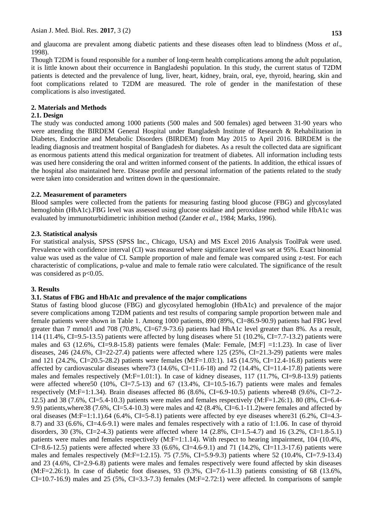and glaucoma are prevalent among diabetic patients and these diseases often lead to blindness (Moss *et al*., 1998).

Though T2DM is found responsible for a number of long-term health complications among the adult population, it is little known about their occurrence in Bangladeshi population. In this study, the current status of T2DM patients is detected and the prevalence of lung, liver, heart, kidney, brain, oral, eye, thyroid, hearing, skin and foot complications related to T2DM are measured. The role of gender in the manifestation of these complications is also investigated.

# **2. Materials and Methods**

## **2.1. Design**

The study was conducted among 1000 patients (500 males and 500 females) aged between 31-90 years who were attending the BIRDEM General Hospital under Bangladesh Institute of Research & Rehabilitation in Diabetes, Endocrine and Metabolic Disorders (BIRDEM) from May 2015 to April 2016. BIRDEM is the leading diagnosis and treatment hospital of Bangladesh for diabetes. As a result the collected data are significant as enormous patients attend this medical organization for treatment of diabetes. All information including tests was used here considering the oral and written informed consent of the patients. In addition, the ethical issues of the hospital also maintained here. Disease profile and personal information of the patients related to the study were taken into consideration and written down in the questionnaire.

## **2.2. Measurement of parameters**

Blood samples were collected from the patients for measuring fasting blood glucose (FBG) and glycosylated hemoglobin (HbA1c).FBG level was assessed using glucose oxidase and peroxidase method while HbA1c was evaluated by immunoturbidimetric inhibition method (Zander *et al*., 1984; Marks, 1996).

#### **2.3. Statistical analysis**

For statistical analysis, SPSS (SPSS Inc., Chicago, USA) and MS Excel 2016 Analysis ToolPak were used. Prevalence with confidence interval (CI) was measured where significance level was set at 95%. Exact binomial value was used as the value of CI. Sample proportion of male and female was compared using z-test. For each characteristic of complications, p-value and male to female ratio were calculated. The significance of the result was considered as  $p<0.05$ .

## **3. Results**

## **3.1. Status of FBG and HbA1c and prevalence of the major complications**

Status of fasting blood glucose (FBG) and glycosylated hemoglobin (HbA1c) and prevalence of the major severe complications among T2DM patients and test results of comparing sample proportion between male and female patients were shown in Table 1. Among 1000 patients, 890 (89%, CI=86.9-90.9) patients had FBG level greater than 7 mmol/l and 708 (70.8%, CI=67.9-73.6) patients had HbA1c level greater than 8%. As a result, 114 (11.4%, CI=9.5-13.5) patients were affected by lung diseases where 51 (10.2%, CI=7.7-13.2) patients were males and 63 (12.6%, CI=9.8-15.8) patients were females (Male: Female, [M:F] =1:1.23). In case of liver diseases, 246 (24.6%, CI=22-27.4) patients were affected where 125 (25%, CI=21.3-29) patients were males and 121 (24.2%, CI=20.5-28.2) patients were females (M:F=1.03:1). 145 (14.5%, CI=12.4-16.8) patients were affected by cardiovascular diseases where73 (14.6%, CI=11.6-18) and 72 (14.4%, CI=11.4-17.8) patients were males and females respectively (M:F=1.01:1). In case of kidney diseases, 117 (11.7%, CI=9.8-13.9) patients were affected where50 (10%, CI=7.5-13) and 67 (13.4%, CI=10.5-16.7) patients were males and females respectively (M:F=1:1.34). Brain diseases affected 86 (8.6%, CI=6.9-10.5) patients where48 (9.6%, CI=7.2- 12.5) and 38 (7.6%, CI=5.4-10.3) patients were males and females respectively (M:F=1.26:1). 80 (8%, CI=6.4- 9.9) patients,where38 (7.6%, CI=5.4-10.3) were males and 42 (8.4%, CI=6.1-11.2)were females and affected by oral diseases  $(M:F=1:1.1)$ .64 (6.4%, CI=5-8.1) patients were affected by eye diseases where31 (6.2%, CI=4.3-8.7) and 33 (6.6%, CI=4.6-9.1) were males and females respectively with a ratio of 1:1.06. In case of thyroid disorders, 30 (3%, CI=2-4.3) patients were affected where 14 (2.8%, CI=1.5-4.7) and 16 (3.2%, CI=1.8-5.1) patients were males and females respectively (M:F=1:1.14). With respect to hearing impairment, 104 (10.4%, CI=8.6-12.5) patients were affected where 33 (6.6%, CI=4.6-9.1) and 71 (14.2%, CI=11.3-17.6) patients were males and females respectively  $(M:F=1:2.15)$ . 75 (7.5%, CI=5.9-9.3) patients where 52 (10.4%, CI=7.9-13.4) and 23 (4.6%, CI=2.9-6.8) patients were males and females respectively were found affected by skin diseases (M:F=2.26:1). In case of diabetic foot diseases, 93 (9.3%, CI=7.6-11.3) patients consisting of 68 (13.6%, CI=10.7-16.9) males and 25 (5%, CI=3.3-7.3) females (M:F=2.72:1) were affected. In comparisons of sample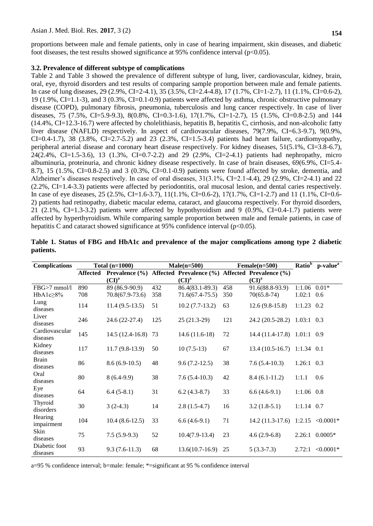proportions between male and female patients, only in case of hearing impairment, skin diseases, and diabetic foot diseases, the test results showed significance at 95% confidence interval  $(p<0.05)$ .

#### **3.2. Prevalence of different subtype of complications**

Table 2 and Table 3 showed the prevalence of different subtype of lung, liver, cardiovascular, kidney, brain, oral, eye, thyroid disorders and test results of comparing sample proportion between male and female patients. In case of lung diseases, 29 (2.9%, CI=2-4.1), 35 (3.5%, CI=2.4-4.8), 17 (1.7%, CI=1-2.7), 11 (1.1%, CI=0.6-2), 19 (1.9%, CI=1.1-3), and 3 (0.3%, CI=0.1-0.9) patients were affected by asthma, chronic obstructive pulmonary disease (COPD), pulmonary fibrosis, pneumonia, tuberculosis and lung cancer respectively. In case of liver diseases, 75 (7.5%, CI=5.9-9.3), 8(0.8%, CI=0.3-1.6), 17(1.7%, CI=1-2.7), 15 (1.5%, CI=0.8-2.5) and 144 (14.4%, CI=12.3-16.7) were affected by cholelithiasis, hepatitis B, hepatitis C, cirrhosis, and non-alcoholic fatty liver disease (NAFLD) respectively. In aspect of cardiovascular diseases, 79(7.9%, CI=6.3-9.7), 9(0.9%, CI=0.4-1.7), 38  $(3.8\% , CI=2.7-5.2)$  and 23  $(2.3\% ,CI=1.5-3.4)$  patients had heart failure, cardiomyopathy, peripheral arterial disease and coronary heart disease respectively. For kidney diseases, 51(5.1%, CI=3.8-6.7), 24(2.4%, CI=1.5-3.6), 13 (1.3%, CI=0.7-2.2) and 29 (2.9%, CI=2-4.1) patients had nephropathy, micro albuminuria, proteinuria, and chronic kidney disease respectively. In case of brain diseases, 69(6.9%, CI=5.4- 8.7), 15 (1.5%, CI=0.8-2.5) and 3 (0.3%, CI=0.1-0.9) patients were found affected by stroke, dementia, and Alzheimer's diseases respectively. In case of oral diseases, 31(3.1%, CI=2.1-4.4), 29 (2.9%, CI=2-4.1) and 22 (2.2%, CI=1.4-3.3) patients were affected by periodontitis, oral mucosal lesion, and dental caries respectively. In case of eye diseases, 25 (2.5%, CI=1.6-3.7), 11(1.1%, CI=0.6-2), 17(1.7%, CI=1-2.7) and 11 (1.1%, CI=0.6- 2) patients had retinopathy, diabetic macular edema, cataract, and glaucoma respectively. For thyroid disorders, 21 (2.1%, CI=1.3-3.2) patients were affected by hypothyroidism and 9 (0.9%, CI=0.4-1.7) patients were affected by hyperthyroidism. While comparing sample proportion between male and female patients, in case of hepatitis C and cataract showed significance at 95% confidence interval ( $p<0.05$ ).

| <b>Complications</b>       |          | Total $(n=1000)$   |                                                 | $Male(n=500)$     |     | $Female(n=500)$                   | Ratio <sup>b</sup> | p-value <sup>a</sup> |
|----------------------------|----------|--------------------|-------------------------------------------------|-------------------|-----|-----------------------------------|--------------------|----------------------|
|                            | Affected | Prevalence $(\% )$ | Affected Prevalence (%) Affected Prevalence (%) |                   |     |                                   |                    |                      |
|                            |          | (CI) <sup>a</sup>  |                                                 | $(CI)^a$          |     | (CI) <sup>a</sup>                 |                    |                      |
| FBG>7 mmol/l               | 890      | 89 (86.9-90.9)     | 432                                             | 86.4(83.1-89.3)   | 458 | 91.6(88.8-93.9)                   | 1:1.06             | $0.01*$              |
| HbA1c $\geq$ 8%            | 708      | 70.8(67.9-73.6)    | 358                                             | $71.6(67.4-75.5)$ | 350 | $70(65.8-74)$                     | 1.02:1             | 0.6                  |
| Lung<br>diseases           | 114      | $11.4(9.5-13.5)$   | 51                                              | $10.2(7.7-13.2)$  | 63  | $12.6(9.8-15.8)$                  | $1:1.23$ 0.2       |                      |
| Liver<br>diseases          | 246      | 24.6 (22-27.4)     | 125                                             | $25(21.3-29)$     | 121 | 24.2 (20.5-28.2) 1.03:1 0.3       |                    |                      |
| Cardiovascular<br>diseases | 145      | $14.5(12.4-16.8)$  | 73                                              | $14.6(11.6-18)$   | 72  | 14.4 (11.4-17.8) 1.01:1 0.9       |                    |                      |
| Kidney<br>diseases         | 117      | $11.7(9.8-13.9)$   | 50                                              | $10(7.5-13)$      | 67  | $13.4(10.5-16.7)$ 1:1.34 0.1      |                    |                      |
| <b>Brain</b><br>diseases   | 86       | $8.6(6.9-10.5)$    | 48                                              | $9.6(7.2-12.5)$   | 38  | $7.6(5.4-10.3)$                   | $1.26:1$ 0.3       |                      |
| Oral<br>diseases           | 80       | $8(6.4-9.9)$       | 38                                              | $7.6(5.4-10.3)$   | 42  | $8.4(6.1-11.2)$                   | 1:1.1              | 0.6                  |
| Eye<br>diseases            | 64       | $6.4(5-8.1)$       | 31                                              | $6.2(4.3-8.7)$    | 33  | $6.6(4.6-9.1)$                    | $1:1.06$ 0.8       |                      |
| Thyroid<br>disorders       | 30       | $3(2-4.3)$         | 14                                              | $2.8(1.5-4.7)$    | 16  | $3.2(1.8-5.1)$                    | $1:1.14$ 0.7       |                      |
| Hearing<br>impairment      | 104      | $10.4(8.6-12.5)$   | 33                                              | $6.6(4.6-9.1)$    | 71  | 14.2 (11.3-17.6) 1:2.15 < 0.0001* |                    |                      |
| Skin<br>diseases           | 75       | $7.5(5.9-9.3)$     | 52                                              | $10.4(7.9-13.4)$  | 23  | $4.6(2.9-6.8)$                    | 2.26:1             | $0.0005*$            |
| Diabetic foot<br>diseases  | 93       | $9.3(7.6-11.3)$    | 68                                              | $13.6(10.7-16.9)$ | 25  | $5(3.3-7.3)$                      | 2.72:1             | $< 0.0001*$          |

|           |  |  |  |  | Table 1. Status of FBG and HbA1c and prevalence of the major complications among type 2 diabetic |  |  |
|-----------|--|--|--|--|--------------------------------------------------------------------------------------------------|--|--|
| patients. |  |  |  |  |                                                                                                  |  |  |

a=95 % confidence interval; b=male: female; \*=significant at 95 % confidence interval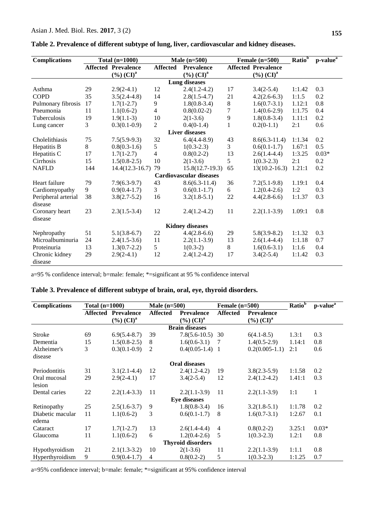| <b>Complications</b>   |     | Total $(n=1000)$                              |                | Male $(n=500)$                 |              | Female $(n=500)$           | Ratio <sup>b</sup> | p-value <sup>a</sup> |  |  |  |  |
|------------------------|-----|-----------------------------------------------|----------------|--------------------------------|--------------|----------------------------|--------------------|----------------------|--|--|--|--|
|                        |     | <b>Affected Prevalence</b><br><b>Affected</b> |                | <b>Prevalence</b>              |              | <b>Affected Prevalence</b> |                    |                      |  |  |  |  |
|                        |     | $(\%)(CI)^{a}$                                |                | $(\%)(CI)^{a}$                 |              | $(\%)(CI)^{a}$             |                    |                      |  |  |  |  |
| <b>Lung diseases</b>   |     |                                               |                |                                |              |                            |                    |                      |  |  |  |  |
| Asthma                 | 29  | $2.9(2-4.1)$                                  | 12             | $2.4(1.2-4.2)$                 | 17           | $3.4(2-5.4)$               | 1:1.42             | 0.3                  |  |  |  |  |
| <b>COPD</b>            | 35  | $3.5(2.4-4.8)$                                | 14             | $2.8(1.5-4.7)$                 | 21           | $4.2(2.6-6.3)$             | 1:1.5              | 0.2                  |  |  |  |  |
| Pulmonary fibrosis     | 17  | $1.7(1-2.7)$                                  | 9              | $1.8(0.8-3.4)$                 | 8            | $1.6(0.7-3.1)$             | 1.12:1             | 0.8                  |  |  |  |  |
| Pneumonia              | 11  | $1.1(0.6-2)$                                  | 4              | $0.8(0.02-2)$                  | 7            | $1.4(0.6-2.9)$             | 1:1.75             | 0.4                  |  |  |  |  |
| Tuberculosis           | 19  | $1.9(1.1-3)$                                  | 10             | $2(1-3.6)$                     | 9            | $1.8(0.8-3.4)$             | 1.11:1             | 0.2                  |  |  |  |  |
| Lung cancer            | 3   | $0.3(0.1-0.9)$                                | $\overline{2}$ | $0.4(0-1.4)$                   | $\mathbf{1}$ | $0.2(0-1.1)$               | 2:1                | 0.6                  |  |  |  |  |
| <b>Liver diseases</b>  |     |                                               |                |                                |              |                            |                    |                      |  |  |  |  |
| Cholelithiasis         | 75  | $7.5(5.9-9.3)$                                | 32             | $6.4(4.4-8.9)$                 | 43           | $8.6(6.3-11.4)$            | 1:1.34             | 0.2                  |  |  |  |  |
| Hepatitis B            | 8   | $0.8(0.3-1.6)$                                | 5              | $1(0.3-2.3)$                   | 3            | $0.6(0.1-1.7)$             | 1.67:1             | 0.5                  |  |  |  |  |
| Hepatitis C            | 17  | $1.7(1-2.7)$                                  | 4              | $0.8(0.2-2)$                   | 13           | $2.6(1.4-4.4)$             | 1:3.25             | $0.03*$              |  |  |  |  |
| Cirrhosis              | 15  | $1.5(0.8-2.5)$                                | 10             | $2(1-3.6)$                     | 5            | $1(0.3-2.3)$               | 2:1                | 0.2                  |  |  |  |  |
| <b>NAFLD</b>           | 144 | $14.4(12.3-16.7)$                             | 79             | $15.8(12.7-19.3)$              | 65           | $13(10.2 - 16.3)$          | 1.21:1             | 0.2                  |  |  |  |  |
|                        |     |                                               |                | <b>Cardiovascular diseases</b> |              |                            |                    |                      |  |  |  |  |
| Heart failure          | 79  | $7.9(6.3-9.7)$                                | 43             | $8.6(6.3-11.4)$                | 36           | $7.2(5.1-9.8)$             | 1.19:1             | 0.4                  |  |  |  |  |
| Cardiomyopathy         | 9   | $0.9(0.4-1.7)$                                | 3              | $0.6(0.1-1.7)$                 | 6            | $1.2(0.4-2.6)$             | 1:2                | 0.3                  |  |  |  |  |
| Peripheral arterial    | 38  | $3.8(2.7-5.2)$                                | 16             | $3.2(1.8-5.1)$                 | $22\,$       | $4.4(2.8-6.6)$             | 1:1.37             | 0.3                  |  |  |  |  |
| disease                |     |                                               |                |                                |              |                            |                    |                      |  |  |  |  |
| Coronary heart         | 23  | $2.3(1.5-3.4)$                                | 12             | $2.4(1.2-4.2)$                 | 11           | $2.2(1.1-3.9)$             | 1.09:1             | 0.8                  |  |  |  |  |
| disease                |     |                                               |                |                                |              |                            |                    |                      |  |  |  |  |
| <b>Kidney diseases</b> |     |                                               |                |                                |              |                            |                    |                      |  |  |  |  |
| Nephropathy            | 51  | $5.1(3.8-6.7)$                                | 22             | $4.4(2.8-6.6)$                 | 29           | $5.8(3.9-8.2)$             | 1:1.32             | 0.3                  |  |  |  |  |
| Microalbuminuria       | 24  | $2.4(1.5-3.6)$                                | 11             | $2.2(1.1-3.9)$                 | 13           | $2.6(1.4-4.4)$             | 1:1.18             | 0.7                  |  |  |  |  |
| Proteinuria            | 13  | $1.3(0.7-2.2)$                                | 5              | $1(0.3-2)$                     | 8            | $1.6(0.6-3.1)$             | 1:1.6              | 0.4                  |  |  |  |  |
| Chronic kidney         | 29  | $2.9(2-4.1)$                                  | 12             | $2.4(1.2-4.2)$                 | 17           | $3.4(2-5.4)$               | 1:1.42             | 0.3                  |  |  |  |  |
| disease                |     |                                               |                |                                |              |                            |                    |                      |  |  |  |  |

**Table 2. Prevalence of different subtype of lung, liver, cardiovascular and kidney diseases.**

a=95 % confidence interval; b=male: female; \*=significant at 95 % confidence interval

## **Table 3. Prevalence of different subtype of brain, oral, eye, thyroid disorders.**

| <b>Complications</b>     | Total $(n=1000)$ |                            | Male $(n=500)$  |                     | Female $(n=500)$ |                   | Ratio <sup>b</sup> | $p-value^{\overline{a}}$ |  |  |  |  |
|--------------------------|------------------|----------------------------|-----------------|---------------------|------------------|-------------------|--------------------|--------------------------|--|--|--|--|
|                          |                  | <b>Affected Prevalence</b> | <b>Affected</b> | <b>Prevalence</b>   | <b>Affected</b>  | <b>Prevalence</b> |                    |                          |  |  |  |  |
|                          |                  | $(\%)(CI)^a$               |                 | $(\%)(CI)^{a}$      |                  | $(\%)(CI)^a$      |                    |                          |  |  |  |  |
| <b>Brain diseases</b>    |                  |                            |                 |                     |                  |                   |                    |                          |  |  |  |  |
| <b>Stroke</b>            | 69               | $6.9(5.4-8.7)$             | 39              | $7.8(5.6-10.5)$     | 30               | $6(4.1 - 8.5)$    | 1.3:1              | 0.3                      |  |  |  |  |
| Dementia                 | 15               | $1.5(0.8-2.5)$             | 8               | $1.6(0.6-3.1)$      | -7               | $1.4(0.5-2.9)$    | 1.14:1             | 0.8                      |  |  |  |  |
| Alzheimer's              | 3                | $0.3(0.1-0.9)$             | 2               | $0.4(0.05-1.4)$ 1   |                  | $0.2(0.005-1.1)$  | 2:1                | 0.6                      |  |  |  |  |
| disease                  |                  |                            |                 |                     |                  |                   |                    |                          |  |  |  |  |
| <b>Oral diseases</b>     |                  |                            |                 |                     |                  |                   |                    |                          |  |  |  |  |
| Periodontitis            | 31               | $3.1(2.1-4.4)$             | 12              | $2.4(1.2-4.2)$      | 19               | $3.8(2.3-5.9)$    | 1:1.58             | 0.2                      |  |  |  |  |
| Oral mucosal             | 29               | $2.9(2-4.1)$               | 17              | $3.4(2-5.4)$        | 12               | $2.4(1.2-4.2)$    | 1.41:1             | 0.3                      |  |  |  |  |
| lesion                   |                  |                            |                 |                     |                  |                   |                    |                          |  |  |  |  |
| Dental caries            | 22               | $2.2(1.4-3.3)$             | 11              | $2.2(1.1-3.9)$      | 11               | $2.2(1.1-3.9)$    | 1:1                | 1                        |  |  |  |  |
|                          |                  |                            |                 | <b>Eye diseases</b> |                  |                   |                    |                          |  |  |  |  |
| Retinopathy              | 25               | $2.5(1.6-3.7)$             | 9               | $1.8(0.8-3.4)$      | 16               | $3.2(1.8-5.1)$    | 1:1.78             | 0.2                      |  |  |  |  |
| Diabetic macular         | 11               | $1.1(0.6-2)$               | 3               | $0.6(0.1-1.7)$      | 8                | $1.6(0.7-3.1)$    | 1:2.67             | 0.1                      |  |  |  |  |
| edema                    |                  |                            |                 |                     |                  |                   |                    |                          |  |  |  |  |
| Cataract                 | 17               | $1.7(1-2.7)$               | 13              | $2.6(1.4-4.4)$      | $\overline{4}$   | $0.8(0.2-2)$      | 3.25:1             | $0.03*$                  |  |  |  |  |
| Glaucoma                 | 11               | $1.1(0.6-2)$               | 6               | $1.2(0.4-2.6)$      | 5                | $1(0.3-2.3)$      | 1.2:1              | 0.8                      |  |  |  |  |
| <b>Thyroid disorders</b> |                  |                            |                 |                     |                  |                   |                    |                          |  |  |  |  |
| Hypothyroidism           | 21               | $2.1(1.3-3.2)$             | 10              | $2(1-3.6)$          | 11               | $2.2(1.1-3.9)$    | 1:1.1              | 0.8                      |  |  |  |  |
| Hyperthyroidism          | 9                | $0.9(0.4-1.7)$             | 4               | $0.8(0.2-2)$        | 5                | $1(0.3-2.3)$      | 1:1.25             | 0.7                      |  |  |  |  |

a=95% confidence interval; b=male: female; \*=significant at 95% confidence interval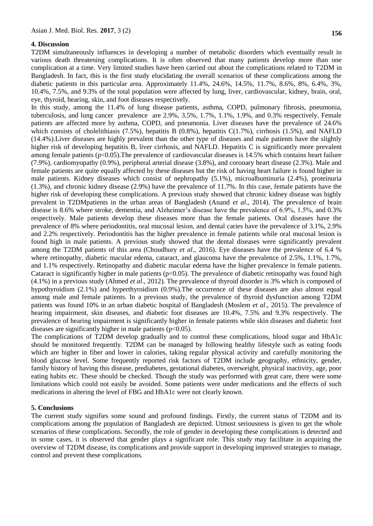#### **4. Discussion**

T2DM simultaneously influences in developing a number of metabolic disorders which eventually result in various death threatening complications. It is often observed that many patients develop more than one complication at a time. Very limited studies have been carried out about the complications related to T2DM in Bangladesh. In fact, this is the first study elucidating the overall scenarios of these complications among the diabetic patients in this particular area. Approximately 11.4%, 24.6%, 14.5%, 11.7%, 8.6%, 8%, 6.4%, 3%, 10.4%, 7.5%, and 9.3% of the total population were affected by lung, liver, cardiovascular, kidney, brain, oral, eye, thyroid, hearing, skin, and foot diseases respectively.

In this study, among the 11.4% of lung disease patients, asthma, COPD, pulmonary fibrosis, pneumonia, tuberculosis, and lung cancer prevalence are 2.9%, 3.5%, 1.7%, 1.1%, 1.9%, and 0.3% respectively. Female patients are affected more by asthma, COPD, and pneumonia. Liver diseases have the prevalence of 24.6% which consists of cholelithiasis (7.5%), hepatitis B  $(0.8\%)$ , hepatitis C(1.7%), cirrhosis (1.5%), and NAFLD (14.4%).Liver diseases are highly prevalent than the other type of diseases and male patients have the slightly higher risk of developing hepatitis B, liver cirrhosis, and NAFLD. Hepatitis C is significantly more prevalent among female patients (p<0.05).The prevalence of cardiovascular diseases is 14.5% which contains heart failure (7.9%), cardiomyopathy (0.9%), peripheral arterial disease (3.8%), and coronary heart disease (2.3%). Male and female patients are quite equally affected by these diseases but the risk of having heart failure is found higher in male patients. Kidney diseases which consist of nephropathy (5.1%), microalbuminuria (2.4%), proteinuria (1.3%), and chronic kidney disease (2.9%) have the prevalence of 11.7%. In this case, female patients have the higher risk of developing these complications. A previous study showed that chronic kidney disease was highly prevalent in T2DMpatients in the urban areas of Bangladesh (Anand *et al*., 2014). The prevalence of brain disease is 8.6% where stroke, dementia, and Alzheimer's disease have the prevalence of 6.9%, 1.5%, and 0.3% respectively. Male patients develop these diseases more than the female patients. Oral diseases have the prevalence of 8% where periodontitis, oral mucosal lesion, and dental caries have the prevalence of 3.1%, 2.9% and 2.2% respectively. Periodontitis has the higher prevalence in female patients while oral mucosal lesion is found high in male patients. A previous study showed that the dental diseases were significantly prevalent among the T2DM patients of this area (Choudhury *et al*., 2016). Eye diseases have the prevalence of 6.4 % where retinopathy, diabetic macular edema, cataract, and glaucoma have the prevalence of 2.5%, 1.1%, 1.7%, and 1.1% respectively. Retinopathy and diabetic macular edema have the higher prevalence in female patients. Cataract is significantly higher in male patients ( $p<0.05$ ). The prevalence of diabetic retinopathy was found high (4.1%) in a previous study (Ahmed *et al*., 2012). The prevalence of thyroid disorder is 3% which is composed of hypothyroidism (2.1%) and hyperthyroidism (0.9%).The occurrence of these diseases are also almost equal among male and female patients. In a previous study, the prevalence of thyroid dysfunction among T2DM patients was found 10% in an urban diabetic hospital of Bangladesh (Moslem *et al*., 2015). The prevalence of hearing impairment, skin diseases, and diabetic foot diseases are 10.4%, 7.5% and 9.3% respectively. The prevalence of hearing impairment is significantly higher in female patients while skin diseases and diabetic foot diseases are significantly higher in male patients  $(p<0.05)$ .

The complications of T2DM develop gradually and to control these complications, blood sugar and HbA1c should be monitored frequently. T2DM can be managed by following healthy lifestyle such as eating foods which are higher in fiber and lower in calories, taking regular physical activity and carefully monitoring the blood glucose level. Some frequently reported risk factors of T2DM include geography, ethnicity, gender, family history of having this disease, prediabetes, gestational diabetes, overweight, physical inactivity, age, poor eating habits etc. These should be checked. Though the study was performed with great care, there were some limitations which could not easily be avoided. Some patients were under medications and the effects of such medications in altering the level of FBG and HbA1c were not clearly known.

#### **5. Conclusions**

The current study signifies some sound and profound findings. Firstly, the current status of T2DM and its complications among the population of Bangladesh are depicted. Utmost seriousness is given to get the whole scenarios of these complications. Secondly, the role of gender in developing these complications is detected and in some cases, it is observed that gender plays a significant role. This study may facilitate in acquiring the overview of T2DM disease, its complications and provide support in developing improved strategies to manage, control and prevent these complications.